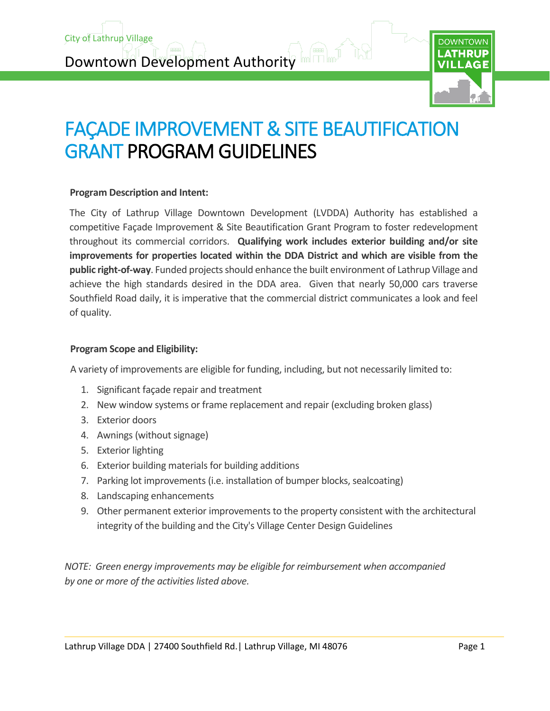

# FAÇADE IMPROVEMENT & SITE BEAUTIFICATION GRANT PROGRAM GUIDELINES

### **Program Description and Intent:**

City of Lathrup Village

The City of Lathrup Village Downtown Development (LVDDA) Authority has established a competitive Façade Improvement & Site Beautification Grant Program to foster redevelopment throughout its commercial corridors. **Qualifying work includes exterior building and/or site improvements for properties located within the DDA District and which are visible from the public right-of-way**. Funded projects should enhance the built environment of Lathrup Village and achieve the high standards desired in the DDA area. Given that nearly 50,000 cars traverse Southfield Road daily, it is imperative that the commercial district communicates a look and feel of quality.

#### **Program Scope and Eligibility:**

A variety of improvements are eligible for funding, including, but not necessarily limited to:

- 1. Significant façade repair and treatment
- 2. New window systems or frame replacement and repair (excluding broken glass)
- 3. Exterior doors
- 4. Awnings (without signage)
- 5. Exterior lighting
- 6. Exterior building materials for building additions
- 7. Parking lot improvements (i.e. installation of bumper blocks, sealcoating)
- 8. Landscaping enhancements
- 9. Other permanent exterior improvements to the property consistent with the architectural integrity of the building and the City's Village Center Design Guidelines

*NOTE: Green energy improvements may be eligible for reimbursement when accompanied by one or more of the activities listed above.*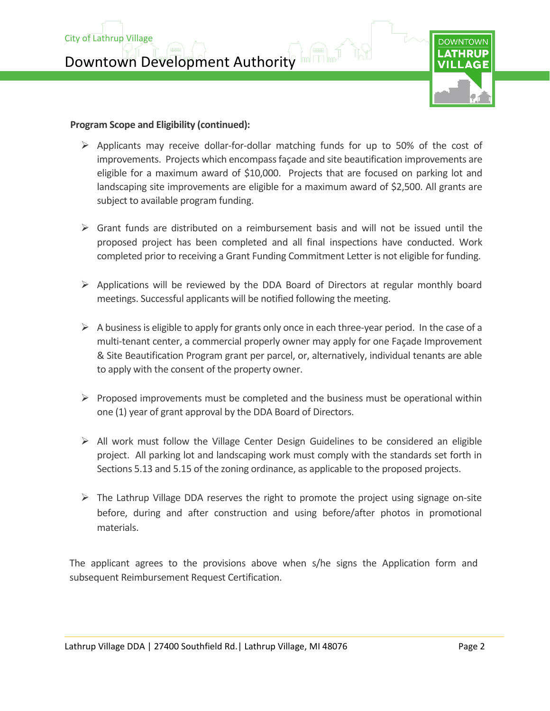



#### **Program Scope and Eligibility (continued):**

City of Lathrup Village

- $\triangleright$  Applicants may receive dollar-for-dollar matching funds for up to 50% of the cost of improvements. Projects which encompass façade and site beautification improvements are eligible for a maximum award of \$10,000. Projects that are focused on parking lot and landscaping site improvements are eligible for a maximum award of \$2,500. All grants are subject to available program funding.
- $\triangleright$  Grant funds are distributed on a reimbursement basis and will not be issued until the proposed project has been completed and all final inspections have conducted. Work completed prior to receiving a Grant Funding Commitment Letter is not eligible for funding.
- $\triangleright$  Applications will be reviewed by the DDA Board of Directors at regular monthly board meetings. Successful applicants will be notified following the meeting.
- $\triangleright$  A business is eligible to apply for grants only once in each three-year period. In the case of a multi-tenant center, a commercial properly owner may apply for one Façade Improvement & Site Beautification Program grant per parcel, or, alternatively, individual tenants are able to apply with the consent of the property owner.
- $\triangleright$  Proposed improvements must be completed and the business must be operational within one (1) year of grant approval by the DDA Board of Directors.
- $\triangleright$  All work must follow the Village Center Design Guidelines to be considered an eligible project. All parking lot and landscaping work must comply with the standards set forth in Sections 5.13 and 5.15 of the zoning ordinance, as applicable to the proposed projects.
- ➢ The Lathrup Village DDA reserves the right to promote the project using signage on-site before, during and after construction and using before/after photos in promotional materials.

The applicant agrees to the provisions above when s/he signs the Application form and subsequent Reimbursement Request Certification.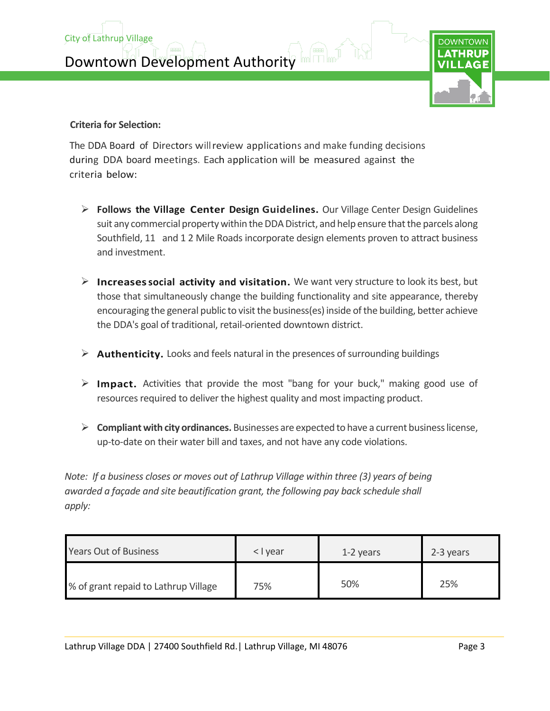

### **Criteria for Selection:**

City of Lathrup Village

The DDA Board of Directors willreview applications and make funding decisions during DDA board meetings. Each application will be measured against the criteria below:

- ➢ **Follows the Village Center Design Guidelines.** Our Village Center Design Guidelines suit any commercial property within the DDA District, and help ensure that the parcels along Southfield, 11 and 1 2 Mile Roads incorporate design elements proven to attract business and investment.
- ➢ **Increasessocial activity and visitation.** We want very structure to look its best, but those that simultaneously change the building functionality and site appearance, thereby encouraging the general public to visit the business(es) inside of the building, better achieve the DDA's goal of traditional, retail-oriented downtown district.
- ➢ **Authenticity.** Looks and feels natural in the presences of surrounding buildings
- ➢ **Impact.** Activities that provide the most "bang for your buck," making good use of resources required to deliver the highest quality and most impacting product.
- ➢ **Compliant with city ordinances.** Businesses are expected to have a current business license, up-to-date on their water bill and taxes, and not have any code violations.

*Note: If a business closes or moves out of Lathrup Village within three (3) years of being awarded a façade and site beautification grant, the following pay back schedule shall apply:*

| Years Out of Business                | < I year | 1-2 years | 2-3 years |
|--------------------------------------|----------|-----------|-----------|
| % of grant repaid to Lathrup Village | 75%      | 50%       | 25%       |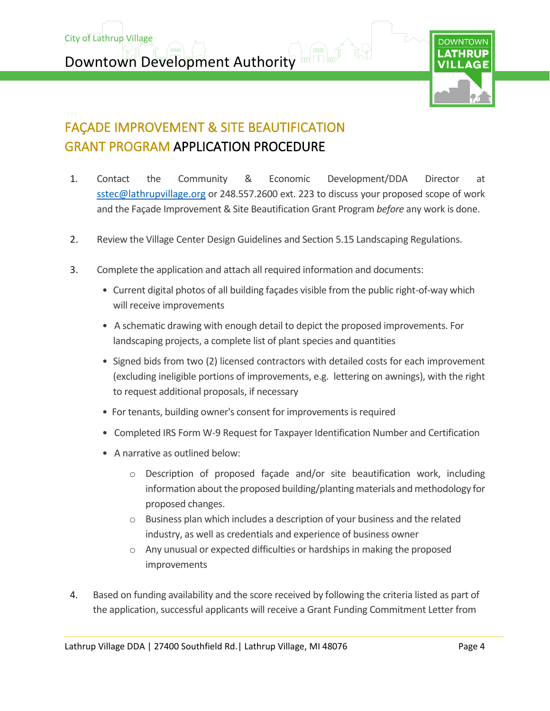City of Lathrup Village



## FAÇADE IMPROVEMENT & SITE BEAUTIFICATION GRANT PROGRAM APPLICATION PROCEDURE

- 1. Contact the Community & Economic Development/DDA Director at [sstec@lathrupvillage.org](mailto:sstec@lathrupvillage.org) or 248.557.2600 ext. 223 to discuss your proposed scope of work and the Façade Improvement & Site Beautification Grant Program *before* any work is done.
- 2. Review the Village Center Design Guidelines and Section 5.15 Landscaping Regulations.
- 3. Complete the application and attach all required information and documents:
	- Current digital photos of all building façades visible from the public right-of-way which will receive improvements
	- A schematic drawing with enough detail to depict the proposed improvements. For landscaping projects, a complete list of plant species and quantities
	- Signed bids from two (2) licensed contractors with detailed costs for each improvement (excluding ineligible portions of improvements, e.g. lettering on awnings), with the right to request additional proposals, if necessary
	- For tenants, building owner's consent for improvements is required
	- Completed IRS Form W-9 Request for Taxpayer Identification Number and Certification
	- A narrative as outlined below:
		- o Description of proposed façade and/or site beautification work, including information about the proposed building/planting materials and methodology for proposed changes.
		- o Business plan which includes a description of your business and the related industry, as well as credentials and experience of business owner
		- o Any unusual or expected difficulties or hardships in making the proposed improvements
- 4. Based on funding availability and the score received by following the criteria listed as part of the application, successful applicants will receive a Grant Funding Commitment Letter from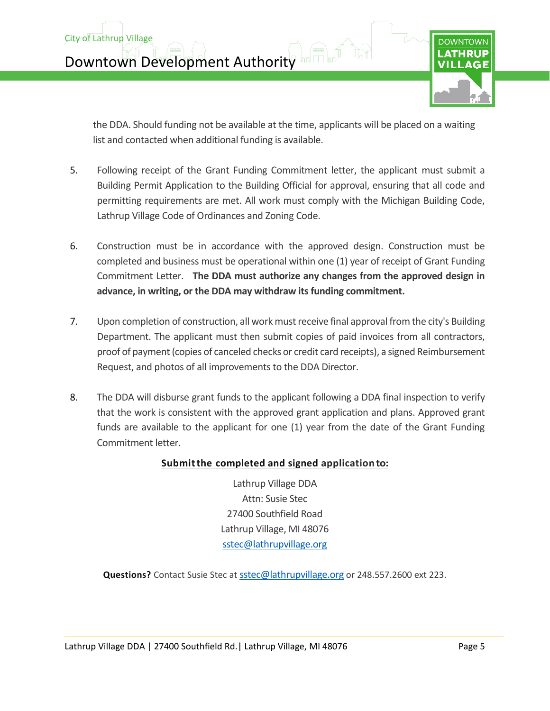

the DDA. Should funding not be available at the time, applicants will be placed on a waiting list and contacted when additional funding is available.

- 5. Following receipt of the Grant Funding Commitment letter, the applicant must submit a Building Permit Application to the Building Official for approval, ensuring that all code and permitting requirements are met. All work must comply with the Michigan Building Code, Lathrup Village Code of Ordinances and Zoning Code.
- 6. Construction must be in accordance with the approved design. Construction must be completed and business must be operational within one (1) year of receipt of Grant Funding Commitment Letter. **The DDA must authorize any changes from the approved design in advance, in writing, or the DDA may withdraw its funding commitment.**
- 7. Upon completion of construction, all work must receive final approval from the city's Building Department. The applicant must then submit copies of paid invoices from all contractors, proof of payment (copies of canceled checks or credit card receipts), a signed Reimbursement Request, and photos of all improvements to the DDA Director.
- 8. The DDA will disburse grant funds to the applicant following a DDA final inspection to verify that the work is consistent with the approved grant application and plans. Approved grant funds are available to the applicant for one (1) year from the date of the Grant Funding Commitment letter.

### **Submitthe completed and signed applicationto:**

Lathrup Village DDA Attn: Susie Stec 27400 Southfield Road Lathrup Village, MI 48076 [sstec@lathrupvillage.org](mailto:cityclerk@lathrupvillage.org)

**Questions?** Contact Susie Stec at [sstec@lathrupvillage.org](mailto:sstec@lathrupvillage.org) or 248.557.2600 ext 223.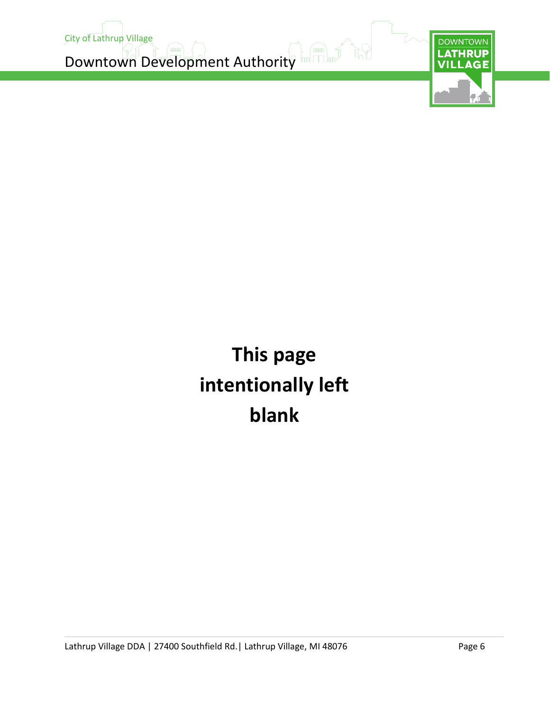

# **This page intentionally left blank**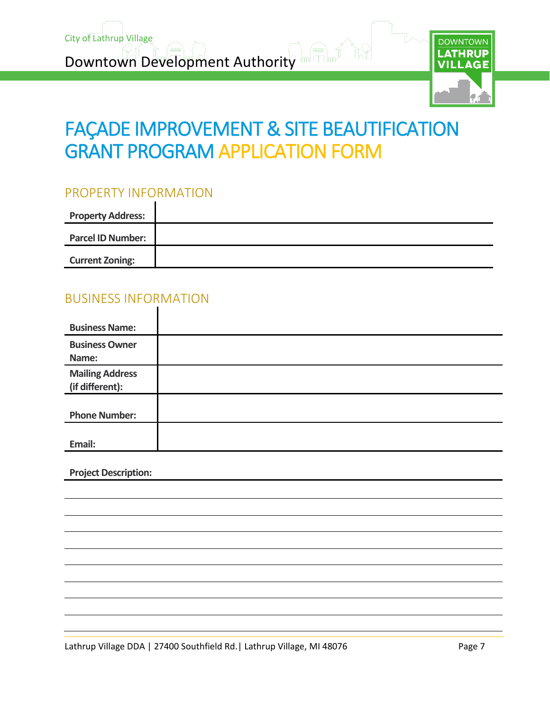



**DOWNTOWN** 

# FAÇADE IMPROVEMENT & SITE BEAUTIFICATION GRANT PROGRAM APPLICATION FORM

### PROPERTY INFORMATION

| <b>Property Address:</b> |  |
|--------------------------|--|
| <b>Parcel ID Number:</b> |  |
| <b>Current Zoning:</b>   |  |

# BUSINESS INFORMATION

| <b>Business Name:</b>                     |  |
|-------------------------------------------|--|
| <b>Business Owner</b><br>Name:            |  |
| <b>Mailing Address</b><br>(if different): |  |
| <b>Phone Number:</b>                      |  |
| Email:                                    |  |

### **Project Description:**

Lathrup Village DDA | 27400 Southfield Rd. | Lathrup Village, MI 48076 Page 7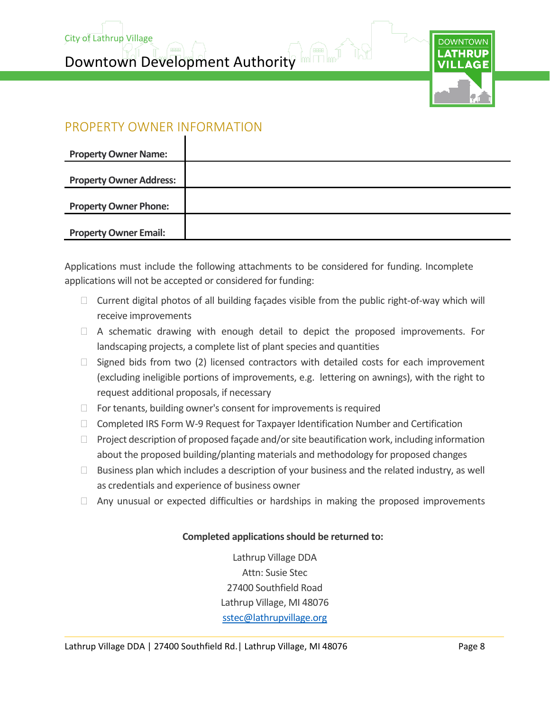

### PROPERTY OWNER INFORMATION

City of Lathrup Village

| <b>Property Owner Name:</b>    |  |
|--------------------------------|--|
|                                |  |
| <b>Property Owner Address:</b> |  |
|                                |  |
| <b>Property Owner Phone:</b>   |  |
|                                |  |
| <b>Property Owner Email:</b>   |  |

Applications must include the following attachments to be considered for funding. Incomplete applications will not be accepted or considered for funding:

- $\Box$  Current digital photos of all building façades visible from the public right-of-way which will receive improvements
- $\Box$  A schematic drawing with enough detail to depict the proposed improvements. For landscaping projects, a complete list of plant species and quantities
- $\Box$  Signed bids from two (2) licensed contractors with detailed costs for each improvement (excluding ineligible portions of improvements, e.g. lettering on awnings), with the right to request additional proposals, if necessary
- $\Box$  For tenants, building owner's consent for improvements is required
- □ Completed IRS Form W-9 Request for Taxpayer Identification Number and Certification
- $\Box$  Project description of proposed façade and/or site beautification work, including information about the proposed building/planting materials and methodology for proposed changes
- $\Box$  Business plan which includes a description of your business and the related industry, as well as credentials and experience of business owner
- $\Box$  Any unusual or expected difficulties or hardships in making the proposed improvements

### **Completed applications should be returned to:**

Lathrup Village DDA Attn: Susie Stec 27400 Southfield Road Lathrup Village, MI 48076 [sstec@lathrupvillage.org](mailto:cityclerk@lathrupvillage.org)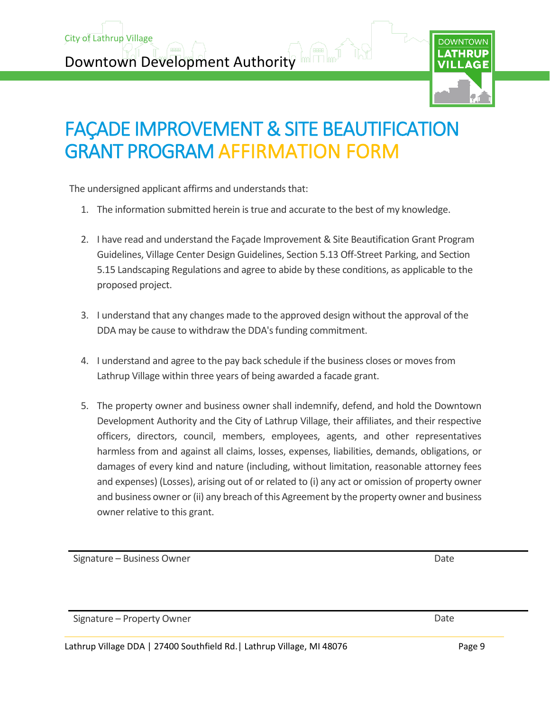City of Lathrup Village



# FAÇADE IMPROVEMENT & SITE BEAUTIFICATION GRANT PROGRAM AFFIRMATION FORM

The undersigned applicant affirms and understands that:

- 1. The information submitted herein is true and accurate to the best of my knowledge.
- 2. I have read and understand the Façade Improvement & Site Beautification Grant Program Guidelines, Village Center Design Guidelines, Section 5.13 Off-Street Parking, and Section 5.15 Landscaping Regulations and agree to abide by these conditions, as applicable to the proposed project.
- 3. I understand that any changes made to the approved design without the approval of the DDA may be cause to withdraw the DDA's funding commitment.
- 4. I understand and agree to the pay back schedule if the business closes or moves from Lathrup Village within three years of being awarded a facade grant.
- 5. The property owner and business owner shall indemnify, defend, and hold the Downtown Development Authority and the City of Lathrup Village, their affiliates, and their respective officers, directors, council, members, employees, agents, and other representatives harmless from and against all claims, losses, expenses, liabilities, demands, obligations, or damages of every kind and nature (including, without limitation, reasonable attorney fees and expenses) (Losses), arising out of or related to (i) any act or omission of property owner and business owner or (ii) any breach of this Agreement by the property owner and business owner relative to this grant.

Signature – Business Owner Date Communications and the Communications of the Date Date Date Date

Signature – Property Owner Date Communications and Date Date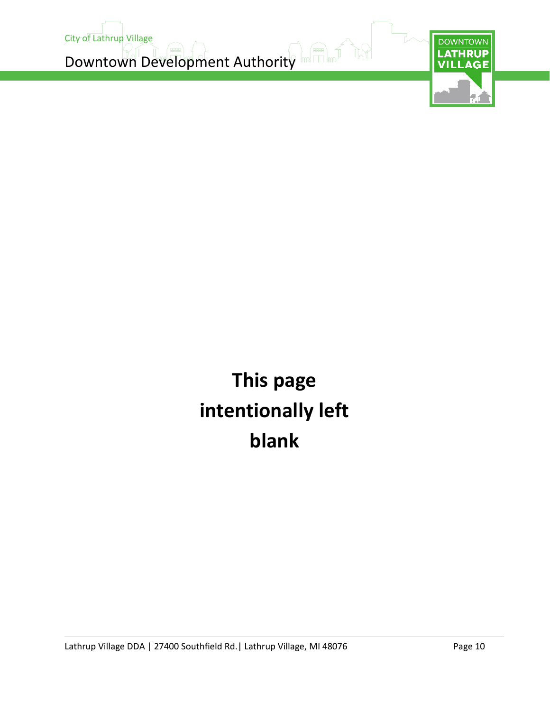

# **This page intentionally left blank**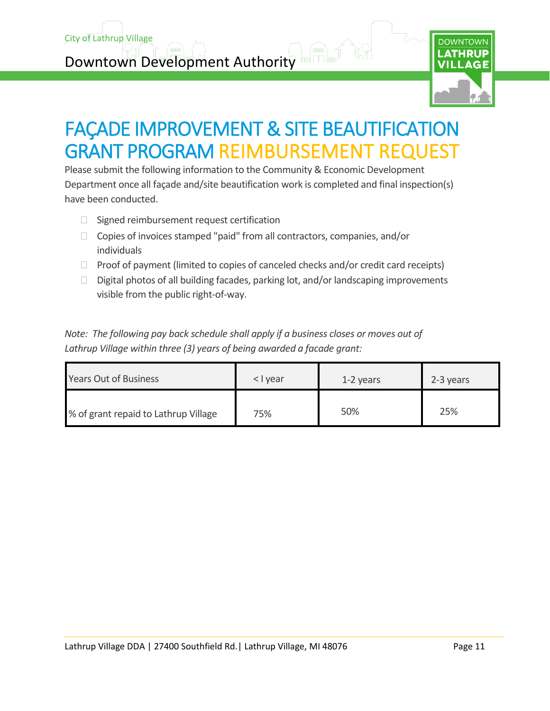City of Lathrup Village



# FAÇADE IMPROVEMENT & SITE BEAUTIFICATION GRANT PROGRAM REIMBURSEMENT REQUEST

Please submit the following information to the Community & Economic Development Department once all façade and/site beautification work is completed and final inspection(s) have been conducted.

- $\Box$  Signed reimbursement request certification
- $\Box$  Copies of invoices stamped "paid" from all contractors, companies, and/or individuals
- $\Box$  Proof of payment (limited to copies of canceled checks and/or credit card receipts)
- $\Box$  Digital photos of all building facades, parking lot, and/or landscaping improvements visible from the public right-of-way.

*Note: The following pay back schedule shall apply if a business closes or moves out of Lathrup Village within three (3) years of being awarded a facade grant:*

| <b>Years Out of Business</b>         | < I year | 1-2 years | 2-3 years |
|--------------------------------------|----------|-----------|-----------|
| % of grant repaid to Lathrup Village | 75%      | 50%       | 25%       |